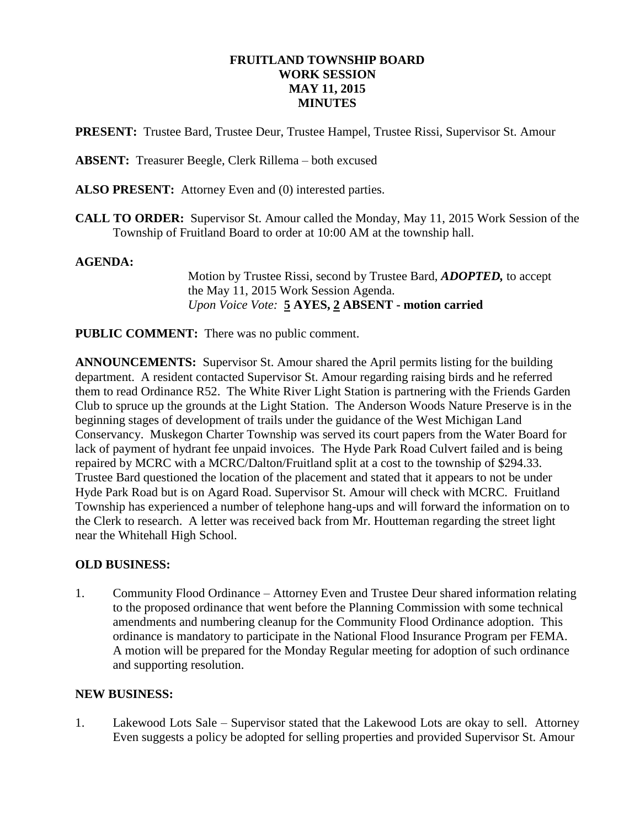# **FRUITLAND TOWNSHIP BOARD WORK SESSION MAY 11, 2015 MINUTES**

**PRESENT:** Trustee Bard, Trustee Deur, Trustee Hampel, Trustee Rissi, Supervisor St. Amour

**ABSENT:** Treasurer Beegle, Clerk Rillema – both excused

**ALSO PRESENT:** Attorney Even and (0) interested parties.

**CALL TO ORDER:** Supervisor St. Amour called the Monday, May 11, 2015 Work Session of the Township of Fruitland Board to order at 10:00 AM at the township hall.

### **AGENDA:**

Motion by Trustee Rissi, second by Trustee Bard, *ADOPTED,* to accept the May 11, 2015 Work Session Agenda. *Upon Voice Vote:* **5 AYES, 2 ABSENT - motion carried**

**PUBLIC COMMENT:** There was no public comment.

**ANNOUNCEMENTS:** Supervisor St. Amour shared the April permits listing for the building department. A resident contacted Supervisor St. Amour regarding raising birds and he referred them to read Ordinance R52. The White River Light Station is partnering with the Friends Garden Club to spruce up the grounds at the Light Station. The Anderson Woods Nature Preserve is in the beginning stages of development of trails under the guidance of the West Michigan Land Conservancy. Muskegon Charter Township was served its court papers from the Water Board for lack of payment of hydrant fee unpaid invoices. The Hyde Park Road Culvert failed and is being repaired by MCRC with a MCRC/Dalton/Fruitland split at a cost to the township of \$294.33. Trustee Bard questioned the location of the placement and stated that it appears to not be under Hyde Park Road but is on Agard Road. Supervisor St. Amour will check with MCRC. Fruitland Township has experienced a number of telephone hang-ups and will forward the information on to the Clerk to research. A letter was received back from Mr. Houtteman regarding the street light near the Whitehall High School.

#### **OLD BUSINESS:**

1. Community Flood Ordinance – Attorney Even and Trustee Deur shared information relating to the proposed ordinance that went before the Planning Commission with some technical amendments and numbering cleanup for the Community Flood Ordinance adoption. This ordinance is mandatory to participate in the National Flood Insurance Program per FEMA. A motion will be prepared for the Monday Regular meeting for adoption of such ordinance and supporting resolution.

#### **NEW BUSINESS:**

1. Lakewood Lots Sale – Supervisor stated that the Lakewood Lots are okay to sell. Attorney Even suggests a policy be adopted for selling properties and provided Supervisor St. Amour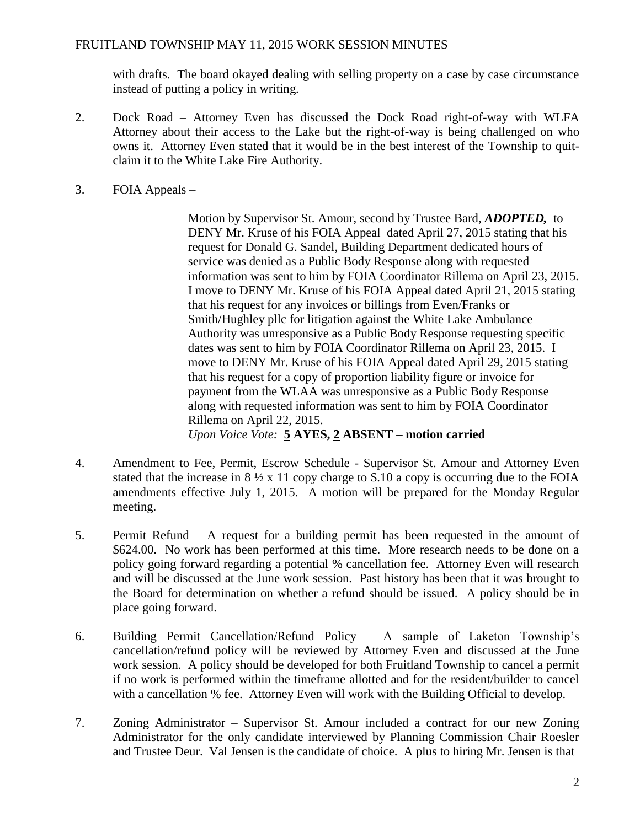# FRUITLAND TOWNSHIP MAY 11, 2015 WORK SESSION MINUTES

with drafts. The board okayed dealing with selling property on a case by case circumstance instead of putting a policy in writing.

- 2. Dock Road Attorney Even has discussed the Dock Road right-of-way with WLFA Attorney about their access to the Lake but the right-of-way is being challenged on who owns it. Attorney Even stated that it would be in the best interest of the Township to quitclaim it to the White Lake Fire Authority.
- 3. FOIA Appeals –

Motion by Supervisor St. Amour, second by Trustee Bard, *ADOPTED,* to DENY Mr. Kruse of his FOIA Appeal dated April 27, 2015 stating that his request for Donald G. Sandel, Building Department dedicated hours of service was denied as a Public Body Response along with requested information was sent to him by FOIA Coordinator Rillema on April 23, 2015. I move to DENY Mr. Kruse of his FOIA Appeal dated April 21, 2015 stating that his request for any invoices or billings from Even/Franks or Smith/Hughley pllc for litigation against the White Lake Ambulance Authority was unresponsive as a Public Body Response requesting specific dates was sent to him by FOIA Coordinator Rillema on April 23, 2015. I move to DENY Mr. Kruse of his FOIA Appeal dated April 29, 2015 stating that his request for a copy of proportion liability figure or invoice for payment from the WLAA was unresponsive as a Public Body Response along with requested information was sent to him by FOIA Coordinator Rillema on April 22, 2015. *Upon Voice Vote:* **5 AYES, 2 ABSENT – motion carried**

- 4. Amendment to Fee, Permit, Escrow Schedule Supervisor St. Amour and Attorney Even stated that the increase in  $8 \frac{1}{2} \times 11$  copy charge to \$.10 a copy is occurring due to the FOIA amendments effective July 1, 2015. A motion will be prepared for the Monday Regular meeting.
- 5. Permit Refund A request for a building permit has been requested in the amount of \$624.00. No work has been performed at this time. More research needs to be done on a policy going forward regarding a potential % cancellation fee. Attorney Even will research and will be discussed at the June work session. Past history has been that it was brought to the Board for determination on whether a refund should be issued. A policy should be in place going forward.
- 6. Building Permit Cancellation/Refund Policy A sample of Laketon Township's cancellation/refund policy will be reviewed by Attorney Even and discussed at the June work session. A policy should be developed for both Fruitland Township to cancel a permit if no work is performed within the timeframe allotted and for the resident/builder to cancel with a cancellation % fee. Attorney Even will work with the Building Official to develop.
- 7. Zoning Administrator Supervisor St. Amour included a contract for our new Zoning Administrator for the only candidate interviewed by Planning Commission Chair Roesler and Trustee Deur. Val Jensen is the candidate of choice. A plus to hiring Mr. Jensen is that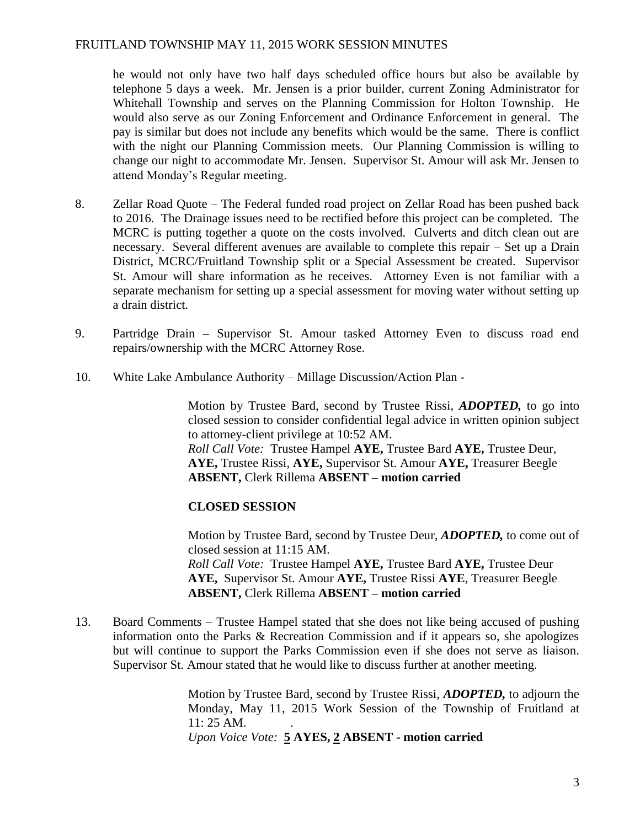### FRUITLAND TOWNSHIP MAY 11, 2015 WORK SESSION MINUTES

he would not only have two half days scheduled office hours but also be available by telephone 5 days a week. Mr. Jensen is a prior builder, current Zoning Administrator for Whitehall Township and serves on the Planning Commission for Holton Township. He would also serve as our Zoning Enforcement and Ordinance Enforcement in general. The pay is similar but does not include any benefits which would be the same. There is conflict with the night our Planning Commission meets. Our Planning Commission is willing to change our night to accommodate Mr. Jensen. Supervisor St. Amour will ask Mr. Jensen to attend Monday's Regular meeting.

- 8. Zellar Road Quote The Federal funded road project on Zellar Road has been pushed back to 2016. The Drainage issues need to be rectified before this project can be completed. The MCRC is putting together a quote on the costs involved. Culverts and ditch clean out are necessary. Several different avenues are available to complete this repair – Set up a Drain District, MCRC/Fruitland Township split or a Special Assessment be created. Supervisor St. Amour will share information as he receives. Attorney Even is not familiar with a separate mechanism for setting up a special assessment for moving water without setting up a drain district.
- 9. Partridge Drain Supervisor St. Amour tasked Attorney Even to discuss road end repairs/ownership with the MCRC Attorney Rose.
- 10. White Lake Ambulance Authority Millage Discussion/Action Plan -

Motion by Trustee Bard, second by Trustee Rissi, *ADOPTED,* to go into closed session to consider confidential legal advice in written opinion subject to attorney-client privilege at 10:52 AM. *Roll Call Vote:* Trustee Hampel **AYE,** Trustee Bard **AYE,** Trustee Deur, **AYE,** Trustee Rissi, **AYE,** Supervisor St. Amour **AYE,** Treasurer Beegle **ABSENT,** Clerk Rillema **ABSENT – motion carried**

#### **CLOSED SESSION**

Motion by Trustee Bard, second by Trustee Deur, *ADOPTED,* to come out of closed session at 11:15 AM. *Roll Call Vote:* Trustee Hampel **AYE,** Trustee Bard **AYE,** Trustee Deur **AYE,** Supervisor St. Amour **AYE,** Trustee Rissi **AYE**, Treasurer Beegle **ABSENT,** Clerk Rillema **ABSENT – motion carried**

13. Board Comments – Trustee Hampel stated that she does not like being accused of pushing information onto the Parks & Recreation Commission and if it appears so, she apologizes but will continue to support the Parks Commission even if she does not serve as liaison. Supervisor St. Amour stated that he would like to discuss further at another meeting.

> Motion by Trustee Bard, second by Trustee Rissi, *ADOPTED,* to adjourn the Monday, May 11, 2015 Work Session of the Township of Fruitland at 11: 25 AM. .

*Upon Voice Vote:* **5 AYES, 2 ABSENT - motion carried**